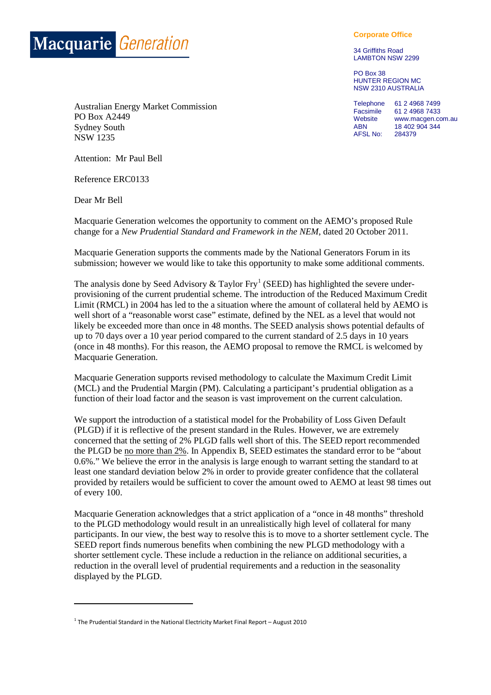

**Corporate Office**

34 Griffiths Road LAMBTON NSW 2299

PO Box 38 HUNTER REGION MC NSW 2310 AUSTRALIA

Telephone 61 2 4968 7499<br>Facsimile 61 2 4968 7433 Facsimile 61 2 4968 7433<br>Website www.macgen.co Website www.macgen.com.au<br>ABN 18 402 904 344 18 402 904 344<br>284379 AFSL No:

Australian Energy Market Commission PO Box A2449 Sydney South NSW 1235

Attention: Mr Paul Bell

Reference ERC0133

Dear Mr Bell

**.** 

Macquarie Generation welcomes the opportunity to comment on the AEMO's proposed Rule change for a *New Prudential Standard and Framework in the NEM,* dated 20 October 2011.

Macquarie Generation supports the comments made by the National Generators Forum in its submission; however we would like to take this opportunity to make some additional comments.

The analysis done by Seed Advisory & Taylor Fry<sup>[1](#page-0-0)</sup> (SEED) has highlighted the severe underprovisioning of the current prudential scheme. The introduction of the Reduced Maximum Credit Limit (RMCL) in 2004 has led to the a situation where the amount of collateral held by AEMO is well short of a "reasonable worst case" estimate, defined by the NEL as a level that would not likely be exceeded more than once in 48 months. The SEED analysis shows potential defaults of up to 70 days over a 10 year period compared to the current standard of 2.5 days in 10 years (once in 48 months). For this reason, the AEMO proposal to remove the RMCL is welcomed by Macquarie Generation.

Macquarie Generation supports revised methodology to calculate the Maximum Credit Limit (MCL) and the Prudential Margin (PM). Calculating a participant's prudential obligation as a function of their load factor and the season is vast improvement on the current calculation.

We support the introduction of a statistical model for the Probability of Loss Given Default (PLGD) if it is reflective of the present standard in the Rules. However, we are extremely concerned that the setting of 2% PLGD falls well short of this. The SEED report recommended the PLGD be no more than 2%. In Appendix B, SEED estimates the standard error to be "about 0.6%." We believe the error in the analysis is large enough to warrant setting the standard to at least one standard deviation below 2% in order to provide greater confidence that the collateral provided by retailers would be sufficient to cover the amount owed to AEMO at least 98 times out of every 100.

Macquarie Generation acknowledges that a strict application of a "once in 48 months" threshold to the PLGD methodology would result in an unrealistically high level of collateral for many participants. In our view, the best way to resolve this is to move to a shorter settlement cycle. The SEED report finds numerous benefits when combining the new PLGD methodology with a shorter settlement cycle. These include a reduction in the reliance on additional securities, a reduction in the overall level of prudential requirements and a reduction in the seasonality displayed by the PLGD.

<span id="page-0-0"></span> $1$  The Prudential Standard in the National Electricity Market Final Report – August 2010